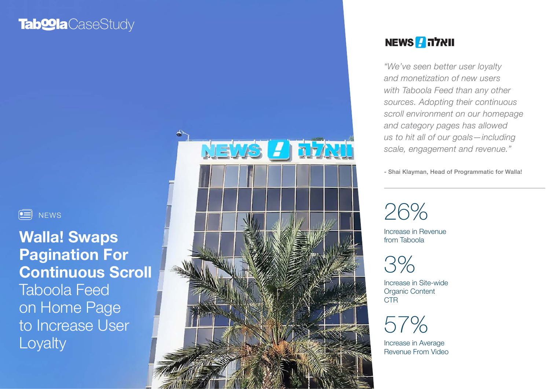# **Tab@la**CaseStudy

 $\boxed{=}$  NEWS

Walla! Swaps Pagination For Continuous Scroll Taboola Feed on Home Page to Increase User Loyalty



### וואלה NEWS

*"We've seen better user loyalty and monetization of new users with Taboola Feed than any other sources. Adopting their continuous scroll environment on our homepage and category pages has allowed us to hit all of our goals—including scale, engagement and revenue."*

- Shai Klayman, Head of Programmatic for Walla!

26%

Increase in Revenue from Taboola

3%

Increase in Site-wide Organic Content CTR

57%

Increase in Average Revenue From Video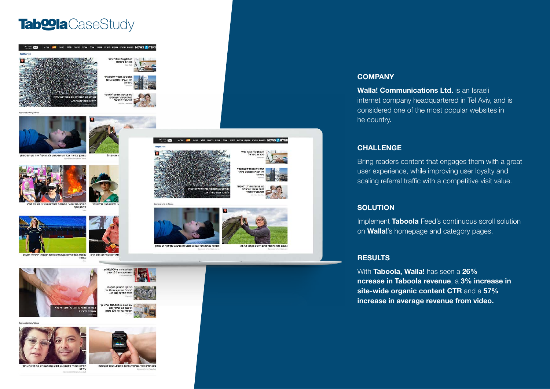### Tab**<sup>oo</sup>la** CaseStudy





.<br>זהפר רמינות ארץ השינה משונו לא מניעה?





שופטת הכדורגל שכבשה את הרשת חושפת: "קיבלתי הצעוו א: "הרגשתי את הדם זורם











.<br>האימון המוחי שמשגע בני 50+: ככה משפרים את הזיכרון, תוך<br>90 יום

בית חולים זעיר בכף היד: פחות מ-1,000 שקל להשקעה





ר בגישה אחרת: "לא<br>מה שיותר ישראלים<br>ותחבר ליהדות"



**COMPANY** 

Walla! Communications Ltd. is an Israeli internet company headquartered in Tel Aviv, and is considered one of the most popular websites in he country.

#### CHALLENGE

Bring readers content that engages them with a great user experience, while improving user loyalty and scaling referral traffic with a competitive visit value.

#### **SOLUTION**

Implement Taboola Feed's continuous scroll solution on **Walla!**'s homepage and category pages.

#### **RESULTS**

With Taboola, Walla! has seen a 26% ncrease in Taboola revenue, a 3% increase in site-wide organic content CTR and a 57% increase in average revenue from video.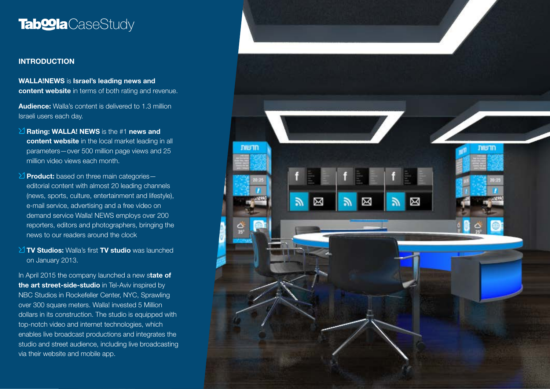## Tab**<sup>o</sup>la** CaseStudy

#### INTRODUCTION

WALLA!NEWS is Israel's leading news and content website in terms of both rating and revenue.

**Audience:** Walla's content is delivered to 1.3 million Israeli users each day.

- $\sum$  Rating: WALLA! NEWS is the #1 news and content website in the local market leading in all parameters—over 500 million page views and 25 million video views each month.
- $\geq$  Product: based on three main categorieseditorial content with almost 20 leading channels (news, sports, culture, entertainment and lifestyle), e-mail service, advertising and a free video on demand service Walla! NEWS employs over 200 reporters, editors and photographers, bringing the news to our readers around the clock
- $\angle$  TV Studios: Walla's first TV studio was launched on January 2013.

In April 2015 the company launched a new state of the art street-side-studio in Tel-Aviv inspired by NBC Studios in Rockefeller Center, NYC, Sprawling over 300 square meters. Walla! invested 5 Million dollars in its construction. The studio is equipped with top-notch video and internet technologies, which enables live broadcast productions and integrates the studio and street audience, including live broadcasting via their website and mobile app.